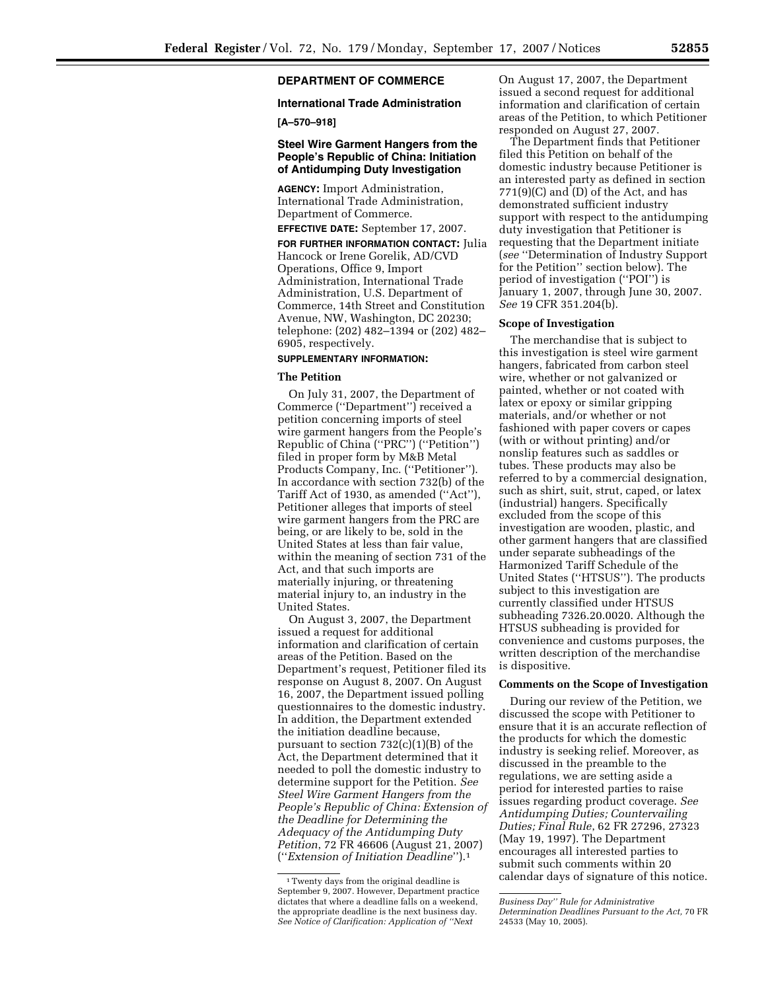# **DEPARTMENT OF COMMERCE**

### **International Trade Administration**

### **[A–570–918]**

## **Steel Wire Garment Hangers from the People's Republic of China: Initiation of Antidumping Duty Investigation**

**AGENCY:** Import Administration, International Trade Administration, Department of Commerce.

**EFFECTIVE DATE:** September 17, 2007. **FOR FURTHER INFORMATION CONTACT:** Julia

Hancock or Irene Gorelik, AD/CVD Operations, Office 9, Import Administration, International Trade Administration, U.S. Department of Commerce, 14th Street and Constitution Avenue, NW, Washington, DC 20230; telephone: (202) 482–1394 or (202) 482– 6905, respectively.

## **SUPPLEMENTARY INFORMATION:**

## **The Petition**

On July 31, 2007, the Department of Commerce (''Department'') received a petition concerning imports of steel wire garment hangers from the People's Republic of China (''PRC'') (''Petition'') filed in proper form by M&B Metal Products Company, Inc. (''Petitioner''). In accordance with section 732(b) of the Tariff Act of 1930, as amended (''Act''), Petitioner alleges that imports of steel wire garment hangers from the PRC are being, or are likely to be, sold in the United States at less than fair value, within the meaning of section 731 of the Act, and that such imports are materially injuring, or threatening material injury to, an industry in the United States.

On August 3, 2007, the Department issued a request for additional information and clarification of certain areas of the Petition. Based on the Department's request, Petitioner filed its response on August 8, 2007. On August 16, 2007, the Department issued polling questionnaires to the domestic industry. In addition, the Department extended the initiation deadline because, pursuant to section 732(c)(1)(B) of the Act, the Department determined that it needed to poll the domestic industry to determine support for the Petition. *See Steel Wire Garment Hangers from the People's Republic of China: Extension of the Deadline for Determining the Adequacy of the Antidumping Duty Petition*, 72 FR 46606 (August 21, 2007) (''*Extension of Initiation Deadline*'').1

On August 17, 2007, the Department issued a second request for additional information and clarification of certain areas of the Petition, to which Petitioner responded on August 27, 2007.

The Department finds that Petitioner filed this Petition on behalf of the domestic industry because Petitioner is an interested party as defined in section  $771(9)(C)$  and  $(D)$  of the Act, and has demonstrated sufficient industry support with respect to the antidumping duty investigation that Petitioner is requesting that the Department initiate (*see* ''Determination of Industry Support for the Petition'' section below). The period of investigation (''POI'') is January 1, 2007, through June 30, 2007. *See* 19 CFR 351.204(b).

### **Scope of Investigation**

The merchandise that is subject to this investigation is steel wire garment hangers, fabricated from carbon steel wire, whether or not galvanized or painted, whether or not coated with latex or epoxy or similar gripping materials, and/or whether or not fashioned with paper covers or capes (with or without printing) and/or nonslip features such as saddles or tubes. These products may also be referred to by a commercial designation, such as shirt, suit, strut, caped, or latex (industrial) hangers. Specifically excluded from the scope of this investigation are wooden, plastic, and other garment hangers that are classified under separate subheadings of the Harmonized Tariff Schedule of the United States (''HTSUS''). The products subject to this investigation are currently classified under HTSUS subheading 7326.20.0020. Although the HTSUS subheading is provided for convenience and customs purposes, the written description of the merchandise is dispositive.

### **Comments on the Scope of Investigation**

During our review of the Petition, we discussed the scope with Petitioner to ensure that it is an accurate reflection of the products for which the domestic industry is seeking relief. Moreover, as discussed in the preamble to the regulations, we are setting aside a period for interested parties to raise issues regarding product coverage. *See Antidumping Duties; Countervailing Duties; Final Rule*, 62 FR 27296, 27323 (May 19, 1997). The Department encourages all interested parties to submit such comments within 20 calendar days of signature of this notice.

<sup>1</sup>Twenty days from the original deadline is September 9, 2007. However, Department practice dictates that where a deadline falls on a weekend, the appropriate deadline is the next business day. *See Notice of Clarification: Application of ''Next* 

*Business Day'' Rule for Administrative Determination Deadlines Pursuant to the Act,* 70 FR 24533 (May 10, 2005).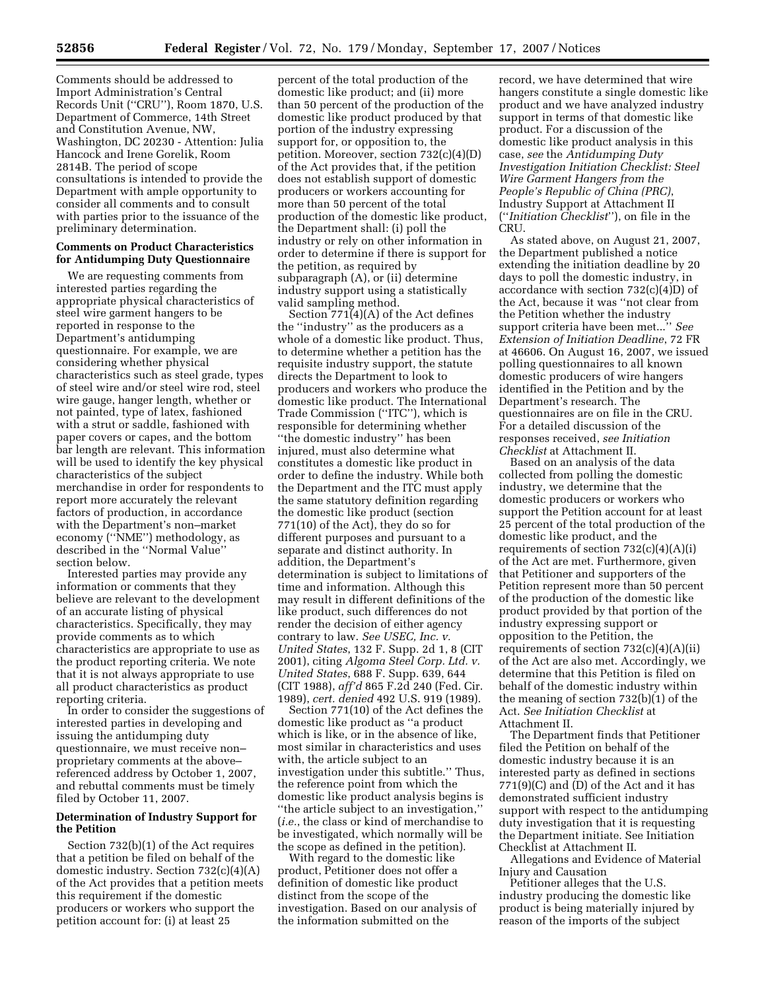Comments should be addressed to Import Administration's Central Records Unit (''CRU''), Room 1870, U.S. Department of Commerce, 14th Street and Constitution Avenue, NW, Washington, DC 20230 - Attention: Julia Hancock and Irene Gorelik, Room 2814B. The period of scope consultations is intended to provide the Department with ample opportunity to consider all comments and to consult with parties prior to the issuance of the preliminary determination.

## **Comments on Product Characteristics for Antidumping Duty Questionnaire**

We are requesting comments from interested parties regarding the appropriate physical characteristics of steel wire garment hangers to be reported in response to the Department's antidumping questionnaire. For example, we are considering whether physical characteristics such as steel grade, types of steel wire and/or steel wire rod, steel wire gauge, hanger length, whether or not painted, type of latex, fashioned with a strut or saddle, fashioned with paper covers or capes, and the bottom bar length are relevant. This information will be used to identify the key physical characteristics of the subject merchandise in order for respondents to report more accurately the relevant factors of production, in accordance with the Department's non–market economy (''NME'') methodology, as described in the ''Normal Value'' section below.

Interested parties may provide any information or comments that they believe are relevant to the development of an accurate listing of physical characteristics. Specifically, they may provide comments as to which characteristics are appropriate to use as the product reporting criteria. We note that it is not always appropriate to use all product characteristics as product reporting criteria.

In order to consider the suggestions of interested parties in developing and issuing the antidumping duty questionnaire, we must receive non– proprietary comments at the above– referenced address by October 1, 2007, and rebuttal comments must be timely filed by October 11, 2007.

## **Determination of Industry Support for the Petition**

Section 732(b)(1) of the Act requires that a petition be filed on behalf of the domestic industry. Section 732(c)(4)(A) of the Act provides that a petition meets this requirement if the domestic producers or workers who support the petition account for: (i) at least 25

percent of the total production of the domestic like product; and (ii) more than 50 percent of the production of the domestic like product produced by that portion of the industry expressing support for, or opposition to, the petition. Moreover, section 732(c)(4)(D) of the Act provides that, if the petition does not establish support of domestic producers or workers accounting for more than 50 percent of the total production of the domestic like product, the Department shall: (i) poll the industry or rely on other information in order to determine if there is support for the petition, as required by subparagraph (A), or (ii) determine industry support using a statistically valid sampling method.

Section 771(4)(A) of the Act defines the ''industry'' as the producers as a whole of a domestic like product. Thus, to determine whether a petition has the requisite industry support, the statute directs the Department to look to producers and workers who produce the domestic like product. The International Trade Commission (''ITC''), which is responsible for determining whether ''the domestic industry'' has been injured, must also determine what constitutes a domestic like product in order to define the industry. While both the Department and the ITC must apply the same statutory definition regarding the domestic like product (section 771(10) of the Act), they do so for different purposes and pursuant to a separate and distinct authority. In addition, the Department's determination is subject to limitations of time and information. Although this may result in different definitions of the like product, such differences do not render the decision of either agency contrary to law. *See USEC, Inc. v. United States*, 132 F. Supp. 2d 1, 8 (CIT 2001), citing *Algoma Steel Corp. Ltd. v. United States*, 688 F. Supp. 639, 644 (CIT 1988), *aff'd* 865 F.2d 240 (Fed. Cir. 1989), *cert. denied* 492 U.S. 919 (1989).

Section 771(10) of the Act defines the domestic like product as ''a product which is like, or in the absence of like, most similar in characteristics and uses with, the article subject to an investigation under this subtitle.'' Thus, the reference point from which the domestic like product analysis begins is ''the article subject to an investigation,'' (*i.e.*, the class or kind of merchandise to be investigated, which normally will be the scope as defined in the petition).

With regard to the domestic like product, Petitioner does not offer a definition of domestic like product distinct from the scope of the investigation. Based on our analysis of the information submitted on the

record, we have determined that wire hangers constitute a single domestic like product and we have analyzed industry support in terms of that domestic like product. For a discussion of the domestic like product analysis in this case, *see* the *Antidumping Duty Investigation Initiation Checklist: Steel Wire Garment Hangers from the People's Republic of China (PRC)*, Industry Support at Attachment II (''*Initiation Checklist*''), on file in the CRU.

As stated above, on August 21, 2007, the Department published a notice extending the initiation deadline by 20 days to poll the domestic industry, in accordance with section 732(c)(4)D) of the Act, because it was ''not clear from the Petition whether the industry support criteria have been met...'' *See Extension of Initiation Deadline*, 72 FR at 46606. On August 16, 2007, we issued polling questionnaires to all known domestic producers of wire hangers identified in the Petition and by the Department's research. The questionnaires are on file in the CRU. For a detailed discussion of the responses received, *see Initiation Checklist* at Attachment II.

Based on an analysis of the data collected from polling the domestic industry, we determine that the domestic producers or workers who support the Petition account for at least 25 percent of the total production of the domestic like product, and the requirements of section  $732(c)(4)(A)(i)$ of the Act are met. Furthermore, given that Petitioner and supporters of the Petition represent more than 50 percent of the production of the domestic like product provided by that portion of the industry expressing support or opposition to the Petition, the requirements of section  $732(c)(4)(A)(ii)$ of the Act are also met. Accordingly, we determine that this Petition is filed on behalf of the domestic industry within the meaning of section 732(b)(1) of the Act. *See Initiation Checklist* at Attachment II.

The Department finds that Petitioner filed the Petition on behalf of the domestic industry because it is an interested party as defined in sections 771(9)(C) and (D) of the Act and it has demonstrated sufficient industry support with respect to the antidumping duty investigation that it is requesting the Department initiate. See Initiation Checklist at Attachment II.

Allegations and Evidence of Material Injury and Causation

Petitioner alleges that the U.S. industry producing the domestic like product is being materially injured by reason of the imports of the subject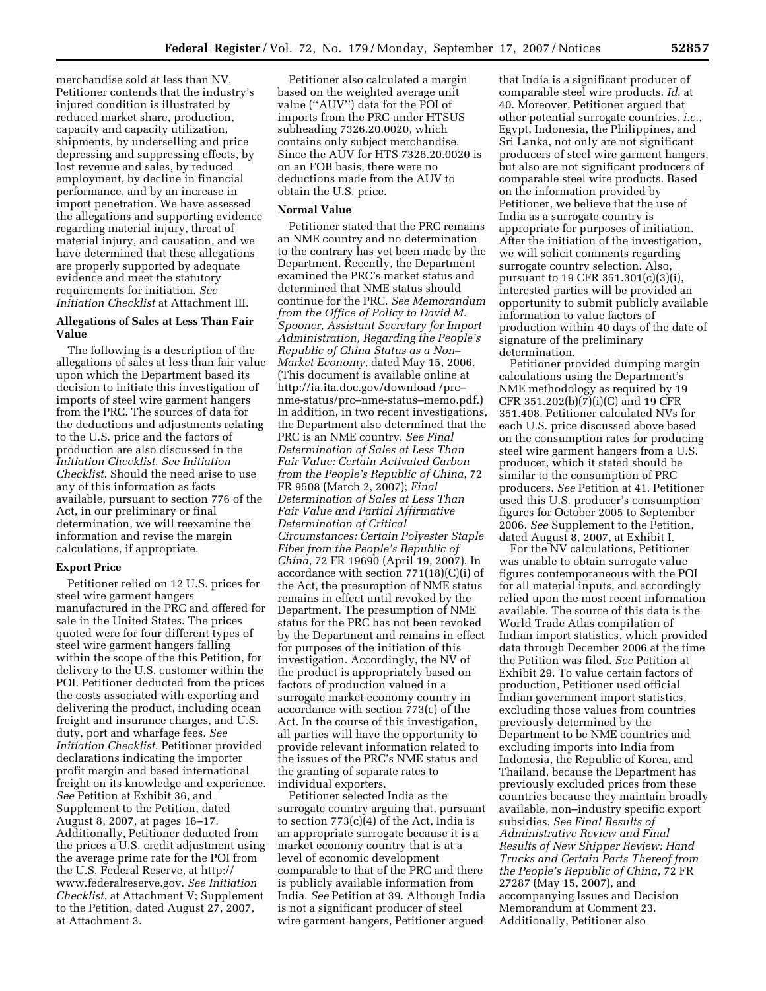merchandise sold at less than NV. Petitioner contends that the industry's injured condition is illustrated by reduced market share, production, capacity and capacity utilization, shipments, by underselling and price depressing and suppressing effects, by lost revenue and sales, by reduced employment, by decline in financial performance, and by an increase in import penetration. We have assessed the allegations and supporting evidence regarding material injury, threat of material injury, and causation, and we have determined that these allegations are properly supported by adequate evidence and meet the statutory requirements for initiation. *See Initiation Checklist* at Attachment III.

## **Allegations of Sales at Less Than Fair Value**

The following is a description of the allegations of sales at less than fair value upon which the Department based its decision to initiate this investigation of imports of steel wire garment hangers from the PRC. The sources of data for the deductions and adjustments relating to the U.S. price and the factors of production are also discussed in the *Initiation Checklist*. *See Initiation Checklist*. Should the need arise to use any of this information as facts available, pursuant to section 776 of the Act, in our preliminary or final determination, we will reexamine the information and revise the margin calculations, if appropriate.

### **Export Price**

Petitioner relied on 12 U.S. prices for steel wire garment hangers manufactured in the PRC and offered for sale in the United States. The prices quoted were for four different types of steel wire garment hangers falling within the scope of the this Petition, for delivery to the U.S. customer within the POI. Petitioner deducted from the prices the costs associated with exporting and delivering the product, including ocean freight and insurance charges, and U.S. duty, port and wharfage fees. *See Initiation Checklist*. Petitioner provided declarations indicating the importer profit margin and based international freight on its knowledge and experience. *See* Petition at Exhibit 36, and Supplement to the Petition, dated August 8, 2007, at pages 16–17. Additionally, Petitioner deducted from the prices a U.S. credit adjustment using the average prime rate for the POI from the U.S. Federal Reserve, at http:// www.federalreserve.gov. *See Initiation Checklist*, at Attachment V; Supplement to the Petition, dated August 27, 2007, at Attachment 3.

Petitioner also calculated a margin based on the weighted average unit value (''AUV'') data for the POI of imports from the PRC under HTSUS subheading 7326.20.0020, which contains only subject merchandise. Since the AUV for HTS 7326.20.0020 is on an FOB basis, there were no deductions made from the AUV to obtain the U.S. price.

#### **Normal Value**

Petitioner stated that the PRC remains an NME country and no determination to the contrary has yet been made by the Department. Recently, the Department examined the PRC's market status and determined that NME status should continue for the PRC. *See Memorandum from the Office of Policy to David M. Spooner, Assistant Secretary for Import Administration, Regarding the People's Republic of China Status as a Non– Market Economy*, dated May 15, 2006. (This document is available online at http://ia.ita.doc.gov/download /prc– nme-status/prc–nme-status–memo.pdf.) In addition, in two recent investigations, the Department also determined that the PRC is an NME country. *See Final Determination of Sales at Less Than Fair Value: Certain Activated Carbon from the People's Republic of China*, 72 FR 9508 (March 2, 2007); *Final Determination of Sales at Less Than Fair Value and Partial Affirmative Determination of Critical Circumstances: Certain Polyester Staple Fiber from the People's Republic of China*, 72 FR 19690 (April 19, 2007). In accordance with section 771(18)(C)(i) of the Act, the presumption of NME status remains in effect until revoked by the Department. The presumption of NME status for the PRC has not been revoked by the Department and remains in effect for purposes of the initiation of this investigation. Accordingly, the NV of the product is appropriately based on factors of production valued in a surrogate market economy country in accordance with section 773(c) of the Act. In the course of this investigation, all parties will have the opportunity to provide relevant information related to the issues of the PRC's NME status and the granting of separate rates to individual exporters.

Petitioner selected India as the surrogate country arguing that, pursuant to section 773(c)(4) of the Act, India is an appropriate surrogate because it is a market economy country that is at a level of economic development comparable to that of the PRC and there is publicly available information from India. *See* Petition at 39. Although India is not a significant producer of steel wire garment hangers, Petitioner argued

that India is a significant producer of comparable steel wire products. *Id*. at 40. Moreover, Petitioner argued that other potential surrogate countries, *i.e.*, Egypt, Indonesia, the Philippines, and Sri Lanka, not only are not significant producers of steel wire garment hangers, but also are not significant producers of comparable steel wire products. Based on the information provided by Petitioner, we believe that the use of India as a surrogate country is appropriate for purposes of initiation. After the initiation of the investigation, we will solicit comments regarding surrogate country selection. Also, pursuant to 19 CFR 351.301(c)(3)(i), interested parties will be provided an opportunity to submit publicly available information to value factors of production within 40 days of the date of signature of the preliminary determination.

Petitioner provided dumping margin calculations using the Department's NME methodology as required by 19 CFR 351.202(b)(7)(i)(C) and 19 CFR 351.408. Petitioner calculated NVs for each U.S. price discussed above based on the consumption rates for producing steel wire garment hangers from a U.S. producer, which it stated should be similar to the consumption of PRC producers. *See* Petition at 41. Petitioner used this U.S. producer's consumption figures for October 2005 to September 2006. *See* Supplement to the Petition, dated August 8, 2007, at Exhibit I.

For the NV calculations, Petitioner was unable to obtain surrogate value figures contemporaneous with the POI for all material inputs, and accordingly relied upon the most recent information available. The source of this data is the World Trade Atlas compilation of Indian import statistics, which provided data through December 2006 at the time the Petition was filed. *See* Petition at Exhibit 29. To value certain factors of production, Petitioner used official Indian government import statistics, excluding those values from countries previously determined by the Department to be NME countries and excluding imports into India from Indonesia, the Republic of Korea, and Thailand, because the Department has previously excluded prices from these countries because they maintain broadly available, non–industry specific export subsidies. *See Final Results of Administrative Review and Final Results of New Shipper Review: Hand Trucks and Certain Parts Thereof from the People's Republic of China*, 72 FR 27287 (May 15, 2007), and accompanying Issues and Decision Memorandum at Comment 23. Additionally, Petitioner also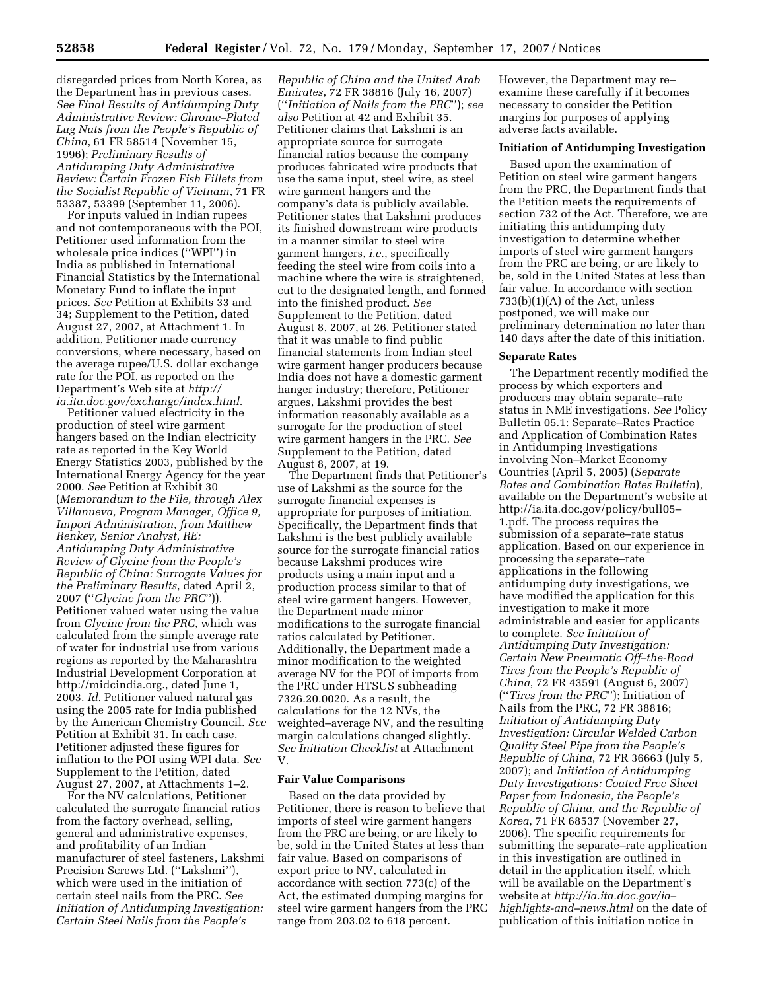disregarded prices from North Korea, as the Department has in previous cases. *See Final Results of Antidumping Duty Administrative Review: Chrome–Plated Lug Nuts from the People's Republic of China*, 61 FR 58514 (November 15, 1996); *Preliminary Results of Antidumping Duty Administrative Review: Certain Frozen Fish Fillets from the Socialist Republic of Vietnam*, 71 FR 53387, 53399 (September 11, 2006).

For inputs valued in Indian rupees and not contemporaneous with the POI, Petitioner used information from the wholesale price indices (''WPI'') in India as published in International Financial Statistics by the International Monetary Fund to inflate the input prices. *See* Petition at Exhibits 33 and 34; Supplement to the Petition, dated August 27, 2007, at Attachment 1. In addition, Petitioner made currency conversions, where necessary, based on the average rupee/U.S. dollar exchange rate for the POI, as reported on the Department's Web site at *http:// ia.ita.doc.gov/exchange/index.html*.

Petitioner valued electricity in the production of steel wire garment hangers based on the Indian electricity rate as reported in the Key World Energy Statistics 2003, published by the International Energy Agency for the year 2000. *See* Petition at Exhibit 30 (*Memorandum to the File, through Alex Villanueva, Program Manager, Office 9, Import Administration, from Matthew Renkey, Senior Analyst, RE: Antidumping Duty Administrative Review of Glycine from the People's Republic of China: Surrogate Values for the Preliminary Results*, dated April 2, 2007 (''*Glycine from the PRC*'')). Petitioner valued water using the value from *Glycine from the PRC*, which was calculated from the simple average rate of water for industrial use from various regions as reported by the Maharashtra Industrial Development Corporation at http://midcindia.org., dated June 1, 2003. *Id*. Petitioner valued natural gas using the 2005 rate for India published by the American Chemistry Council. *See*  Petition at Exhibit 31. In each case, Petitioner adjusted these figures for inflation to the POI using WPI data. *See*  Supplement to the Petition, dated August 27, 2007, at Attachments 1–2.

For the NV calculations, Petitioner calculated the surrogate financial ratios from the factory overhead, selling, general and administrative expenses, and profitability of an Indian manufacturer of steel fasteners, Lakshmi Precision Screws Ltd. (''Lakshmi''), which were used in the initiation of certain steel nails from the PRC. *See Initiation of Antidumping Investigation: Certain Steel Nails from the People's* 

*Republic of China and the United Arab Emirates*, 72 FR 38816 (July 16, 2007) (''*Initiation of Nails from the PRC*''); *see also* Petition at 42 and Exhibit 35. Petitioner claims that Lakshmi is an appropriate source for surrogate financial ratios because the company produces fabricated wire products that use the same input, steel wire, as steel wire garment hangers and the company's data is publicly available. Petitioner states that Lakshmi produces its finished downstream wire products in a manner similar to steel wire garment hangers, *i.e.*, specifically feeding the steel wire from coils into a machine where the wire is straightened, cut to the designated length, and formed into the finished product. *See*  Supplement to the Petition, dated August 8, 2007, at 26. Petitioner stated that it was unable to find public financial statements from Indian steel wire garment hanger producers because India does not have a domestic garment hanger industry; therefore, Petitioner argues, Lakshmi provides the best information reasonably available as a surrogate for the production of steel wire garment hangers in the PRC. *See*  Supplement to the Petition, dated August 8, 2007, at 19.

The Department finds that Petitioner's use of Lakshmi as the source for the surrogate financial expenses is appropriate for purposes of initiation. Specifically, the Department finds that Lakshmi is the best publicly available source for the surrogate financial ratios because Lakshmi produces wire products using a main input and a production process similar to that of steel wire garment hangers. However, the Department made minor modifications to the surrogate financial ratios calculated by Petitioner. Additionally, the Department made a minor modification to the weighted average NV for the POI of imports from the PRC under HTSUS subheading 7326.20.0020. As a result, the calculations for the 12 NVs, the weighted–average NV, and the resulting margin calculations changed slightly. *See Initiation Checklist* at Attachment V.

## **Fair Value Comparisons**

Based on the data provided by Petitioner, there is reason to believe that imports of steel wire garment hangers from the PRC are being, or are likely to be, sold in the United States at less than fair value. Based on comparisons of export price to NV, calculated in accordance with section 773(c) of the Act, the estimated dumping margins for steel wire garment hangers from the PRC range from 203.02 to 618 percent.

However, the Department may re– examine these carefully if it becomes necessary to consider the Petition margins for purposes of applying adverse facts available.

## **Initiation of Antidumping Investigation**

Based upon the examination of Petition on steel wire garment hangers from the PRC, the Department finds that the Petition meets the requirements of section 732 of the Act. Therefore, we are initiating this antidumping duty investigation to determine whether imports of steel wire garment hangers from the PRC are being, or are likely to be, sold in the United States at less than fair value. In accordance with section 733(b)(1)(A) of the Act, unless postponed, we will make our preliminary determination no later than 140 days after the date of this initiation.

#### **Separate Rates**

The Department recently modified the process by which exporters and producers may obtain separate–rate status in NME investigations. *See* Policy Bulletin 05.1: Separate–Rates Practice and Application of Combination Rates in Antidumping Investigations involving Non–Market Economy Countries (April 5, 2005) (*Separate Rates and Combination Rates Bulletin*), available on the Department's website at http://ia.ita.doc.gov/policy/bull05– 1.pdf. The process requires the submission of a separate–rate status application. Based on our experience in processing the separate–rate applications in the following antidumping duty investigations, we have modified the application for this investigation to make it more administrable and easier for applicants to complete. *See Initiation of Antidumping Duty Investigation: Certain New Pneumatic Off–the-Road Tires from the People's Republic of China*, 72 FR 43591 (August 6, 2007) (''*Tires from the PRC*''); Initiation of Nails from the PRC, 72 FR 38816; *Initiation of Antidumping Duty Investigation: Circular Welded Carbon Quality Steel Pipe from the People's Republic of China*, 72 FR 36663 (July 5, 2007); and *Initiation of Antidumping Duty Investigations: Coated Free Sheet Paper from Indonesia, the People's Republic of China, and the Republic of Korea*, 71 FR 68537 (November 27, 2006). The specific requirements for submitting the separate–rate application in this investigation are outlined in detail in the application itself, which will be available on the Department's website at *http://ia.ita.doc.gov/ia– highlights-and–news.html* on the date of publication of this initiation notice in